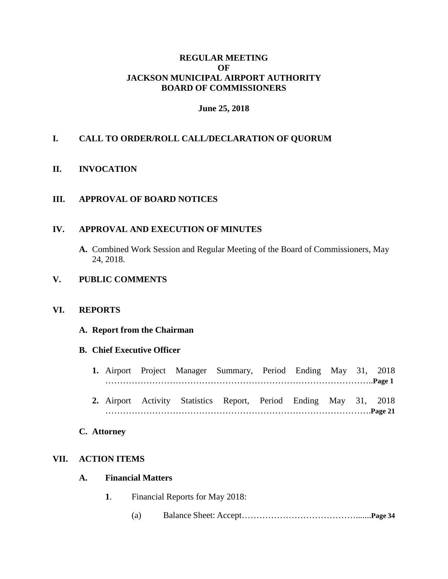### **REGULAR MEETING OF JACKSON MUNICIPAL AIRPORT AUTHORITY BOARD OF COMMISSIONERS**

## **June 25, 2018**

## **I. CALL TO ORDER/ROLL CALL/DECLARATION OF QUORUM**

#### **II. INVOCATION**

## **III. APPROVAL OF BOARD NOTICES**

### **IV. APPROVAL AND EXECUTION OF MINUTES**

**A.** Combined Work Session and Regular Meeting of the Board of Commissioners, May 24, 2018.

### **V. PUBLIC COMMENTS**

#### **VI. REPORTS**

#### **A. Report from the Chairman**

#### **B. Chief Executive Officer**

- **1.** Airport Project Manager Summary, Period Ending May 31, 2018 ………………………………………………………………………………..**Page 1**
- **2.** Airport Activity Statistics Report, Period Ending May 31, 2018 ……………………………………………………………………………….**Page 21**

#### **C. Attorney**

## **VII. ACTION ITEMS**

#### **A. Financial Matters**

- **1**. Financial Reports for May 2018:
	- (a) Balance Sheet: Accept………………………………….......**Page 34**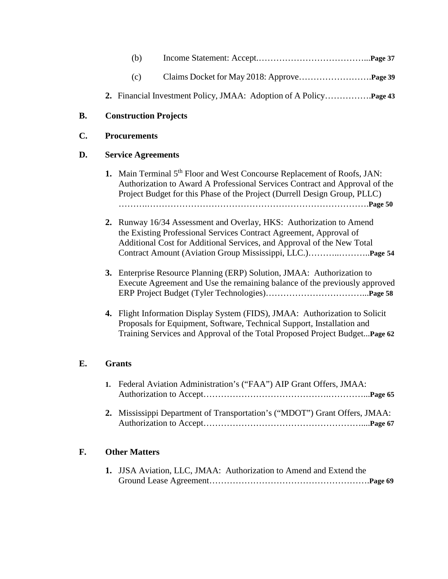- (b) Income Statement: Accept.………………………………...**Page 37**
- (c) Claims Docket for May 2018: Approve…………………….**Page 39**
- **2.** Financial Investment Policy, JMAA: Adoption of A Policy…………….**Page 43**

### **B. Construction Projects**

#### **C. Procurements**

#### **D. Service Agreements**

- **1.** Main Terminal 5<sup>th</sup> Floor and West Concourse Replacement of Roofs, JAN: Authorization to Award A Professional Services Contract and Approval of the Project Budget for this Phase of the Project (Durrell Design Group, PLLC) ……….………………………………………………………………….**Page 50**
- **2.** Runway 16/34 Assessment and Overlay, HKS: Authorization to Amend the Existing Professional Services Contract Agreement, Approval of Additional Cost for Additional Services, and Approval of the New Total Contract Amount (Aviation Group Mississippi, LLC.)………..………..**Page 54**
- **3.** Enterprise Resource Planning (ERP) Solution, JMAA: Authorization to Execute Agreement and Use the remaining balance of the previously approved ERP Project Budget (Tyler Technologies)……………………………...**Page 58**
- **4.** Flight Information Display System (FIDS), JMAA: Authorization to Solicit Proposals for Equipment, Software, Technical Support, Installation and Training Services and Approval of the Total Proposed Project Budget...**Page 62**

#### **E. Grants**

| 1. Federal Aviation Administration's ("FAA") AIP Grant Offers, JMAA:                                                                                                                                                                                                                                                     |  |
|--------------------------------------------------------------------------------------------------------------------------------------------------------------------------------------------------------------------------------------------------------------------------------------------------------------------------|--|
|                                                                                                                                                                                                                                                                                                                          |  |
| $\mathcal{A}$ is $\mathcal{A}$ is the same in $\mathcal{A}$ is $\mathcal{A}$ in $\mathcal{A}$ is $\mathcal{A}$ is $\mathcal{A}$ is $\mathcal{A}$ is $\mathcal{A}$ is $\mathcal{A}$ is $\mathcal{A}$ if $\mathcal{A}$ is $\mathcal{A}$ is $\mathcal{A}$ if $\mathcal{A}$ is $\mathcal{A}$ is $\mathcal{A}$ if $\mathcal{$ |  |

 **2.** Mississippi Department of Transportation's ("MDOT") Grant Offers, JMAA: Authorization to Accept………………………………………………....**Page 67**

## **F. Other Matters**

**1.** JJSA Aviation, LLC, JMAA: Authorization to Amend and Extend the Ground Lease Agreement……………………………………………….**Page 69**